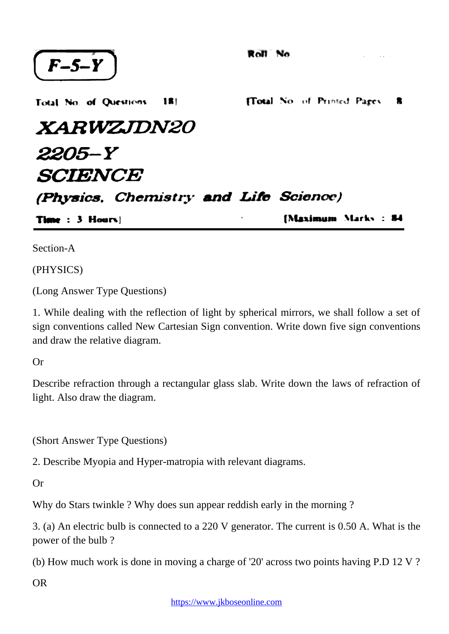| $(F-5-Y)$                             | Roll No. |                               |  |
|---------------------------------------|----------|-------------------------------|--|
| Total No. of Questions 181            |          | [Total No. of Printed Pages 8 |  |
| <i><b>XARWZJDN20</b></i>              |          |                               |  |
| 2205-Y                                |          |                               |  |
| <b>SCIENCE</b>                        |          |                               |  |
| (Physics, Chemistry and Life Science) |          |                               |  |
| <b>Time</b> : $3$ Hours               |          | [Maximum Marks : 84           |  |

Section-A

(PHYSICS)

(Long Answer Type Questions)

1. While dealing with the reflection of light by spherical mirrors, we shall follow a set of sign conventions called New Cartesian Sign convention. Write down five sign conventions and draw the relative diagram.

Or

Describe refraction through a rectangular glass slab. Write down the laws of refraction of light. Also draw the diagram.

(Short Answer Type Questions)

2. Describe Myopia and Hyper-matropia with relevant diagrams.

Or

Why do Stars twinkle ? Why does sun appear reddish early in the morning ?

3. (a) An electric bulb is connected to a 220 V generator. The current is 0.50 A. What is the power of the bulb ?

(b) How much work is done in moving a charge of '20' across two points having P.D 12 V ?

OR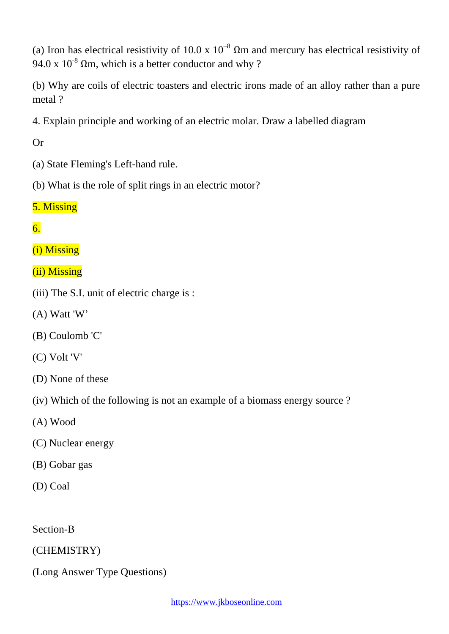(a) Iron has electrical resistivity of 10.0 x  $10^{-8}$   $\Omega$ m and mercury has electrical resistivity of 94.0 x  $10^{-8}$   $\Omega$ m, which is a better conductor and why ?

(b) Why are coils of electric toasters and electric irons made of an alloy rather than a pure metal ?

4. Explain principle and working of an electric molar. Draw a labelled diagram

Or

- (a) State Fleming's Left-hand rule.
- (b) What is the role of split rings in an electric motor?

## 5. Missing

## 6.

(i) Missing

- (ii) Missing
- (iii) The S.I. unit of electric charge is :
- (A) Watt 'W'
- (B) Coulomb 'C'
- (C) Volt 'V'
- (D) None of these
- (iv) Which of the following is not an example of a biomass energy source ?
- (A) Wood
- (C) Nuclear energy
- (B) Gobar gas
- (D) Coal

Section-B

## (CHEMISTRY)

(Long Answer Type Questions)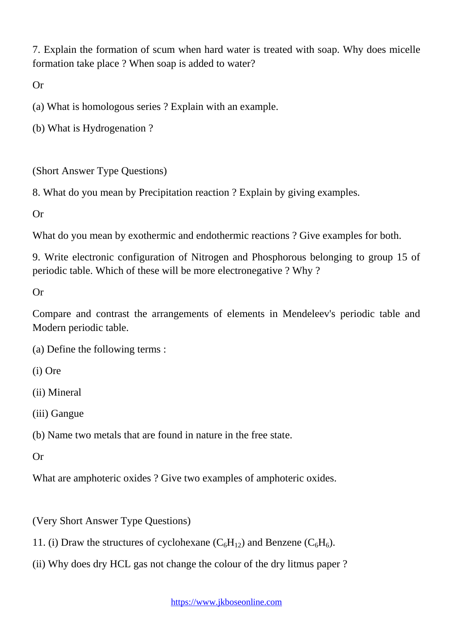7. Explain the formation of scum when hard water is treated with soap. Why does micelle formation take place ? When soap is added to water?

Or

(a) What is homologous series ? Explain with an example.

(b) What is Hydrogenation ?

(Short Answer Type Questions)

8. What do you mean by Precipitation reaction ? Explain by giving examples.

Or

What do you mean by exothermic and endothermic reactions ? Give examples for both.

9. Write electronic configuration of Nitrogen and Phosphorous belonging to group 15 of periodic table. Which of these will be more electronegative ? Why ?

Or

Compare and contrast the arrangements of elements in Mendeleev's periodic table and Modern periodic table.

(a) Define the following terms :

(i) Ore

(ii) Mineral

(iii) Gangue

(b) Name two metals that are found in nature in the free state.

Or

What are amphoteric oxides ? Give two examples of amphoteric oxides.

(Very Short Answer Type Questions)

11. (i) Draw the structures of cyclohexane  $(C_6H_{12})$  and Benzene  $(C_6H_6)$ .

(ii) Why does dry HCL gas not change the colour of the dry litmus paper ?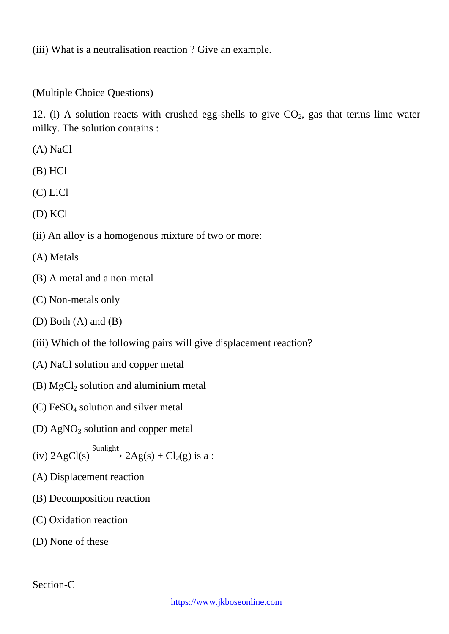(iii) What is a neutralisation reaction ? Give an example.

(Multiple Choice Questions)

12. (i) A solution reacts with crushed egg-shells to give  $CO<sub>2</sub>$ , gas that terms lime water milky. The solution contains :

- (A) NaCl
- (B) HCl
- (C) LiCl
- (D) KCl
- (ii) An alloy is a homogenous mixture of two or more:
- (A) Metals
- (B) A metal and a non-metal
- (C) Non-metals only
- (D) Both (A) and (B)
- (iii) Which of the following pairs will give displacement reaction?
- (A) NaCl solution and copper metal
- (B)  $MgCl<sub>2</sub>$  solution and aluminium metal
- $(C)$  FeSO<sub>4</sub> solution and silver metal
- (D)  $AgNO<sub>3</sub>$  solution and copper metal
- (iv)  $2AgCl(s) \xrightarrow{\text{Sunlight}} 2Ag(s) + Cl_2(g)$  is a :
- (A) Displacement reaction
- (B) Decomposition reaction
- (C) Oxidation reaction
- (D) None of these

Section-C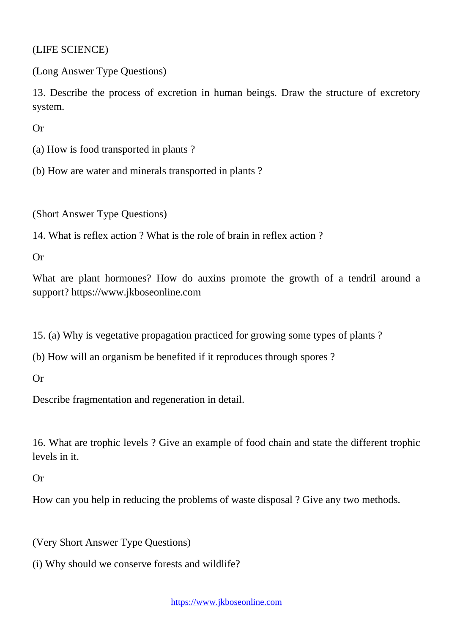(LIFE SCIENCE)

(Long Answer Type Questions)

13. Describe the process of excretion in human beings. Draw the structure of excretory system.

Or

(a) How is food transported in plants ?

(b) How are water and minerals transported in plants ?

(Short Answer Type Questions)

14. What is reflex action ? What is the role of brain in reflex action ?

Or

What are plant hormones? How do auxins promote the growth of a tendril around a support? https://www.jkboseonline.com

15. (a) Why is vegetative propagation practiced for growing some types of plants ?

(b) How will an organism be benefited if it reproduces through spores ?

Or

Describe fragmentation and regeneration in detail.

16. What are trophic levels ? Give an example of food chain and state the different trophic levels in it.

Or

How can you help in reducing the problems of waste disposal ? Give any two methods.

(Very Short Answer Type Questions)

(i) Why should we conserve forests and wildlife?